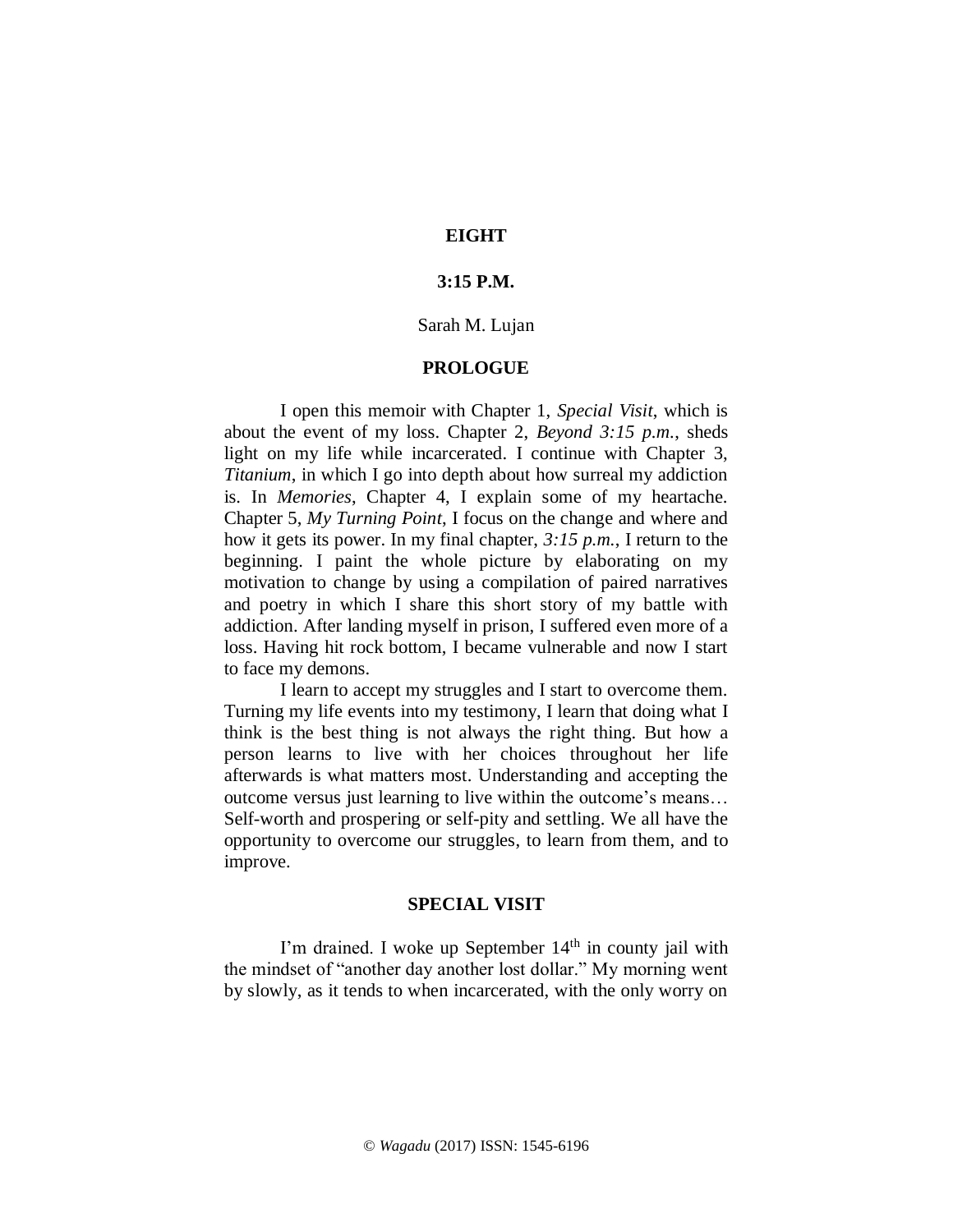# **EIGHT**

# **3:15 P.M.**

# Sarah M. Lujan

### **PROLOGUE**

I open this memoir with Chapter 1, *Special Visit*, which is about the event of my loss. Chapter 2, *Beyond 3:15 p.m.*, sheds light on my life while incarcerated. I continue with Chapter 3, *Titanium*, in which I go into depth about how surreal my addiction is. In *Memories*, Chapter 4, I explain some of my heartache. Chapter 5, *My Turning Point*, I focus on the change and where and how it gets its power. In my final chapter, *3:15 p.m.*, I return to the beginning. I paint the whole picture by elaborating on my motivation to change by using a compilation of paired narratives and poetry in which I share this short story of my battle with addiction. After landing myself in prison, I suffered even more of a loss. Having hit rock bottom, I became vulnerable and now I start to face my demons.

I learn to accept my struggles and I start to overcome them. Turning my life events into my testimony, I learn that doing what I think is the best thing is not always the right thing. But how a person learns to live with her choices throughout her life afterwards is what matters most. Understanding and accepting the outcome versus just learning to live within the outcome's means… Self-worth and prospering or self-pity and settling. We all have the opportunity to overcome our struggles, to learn from them, and to improve.

### **SPECIAL VISIT**

I'm drained. I woke up September 14<sup>th</sup> in county jail with the mindset of "another day another lost dollar." My morning went by slowly, as it tends to when incarcerated, with the only worry on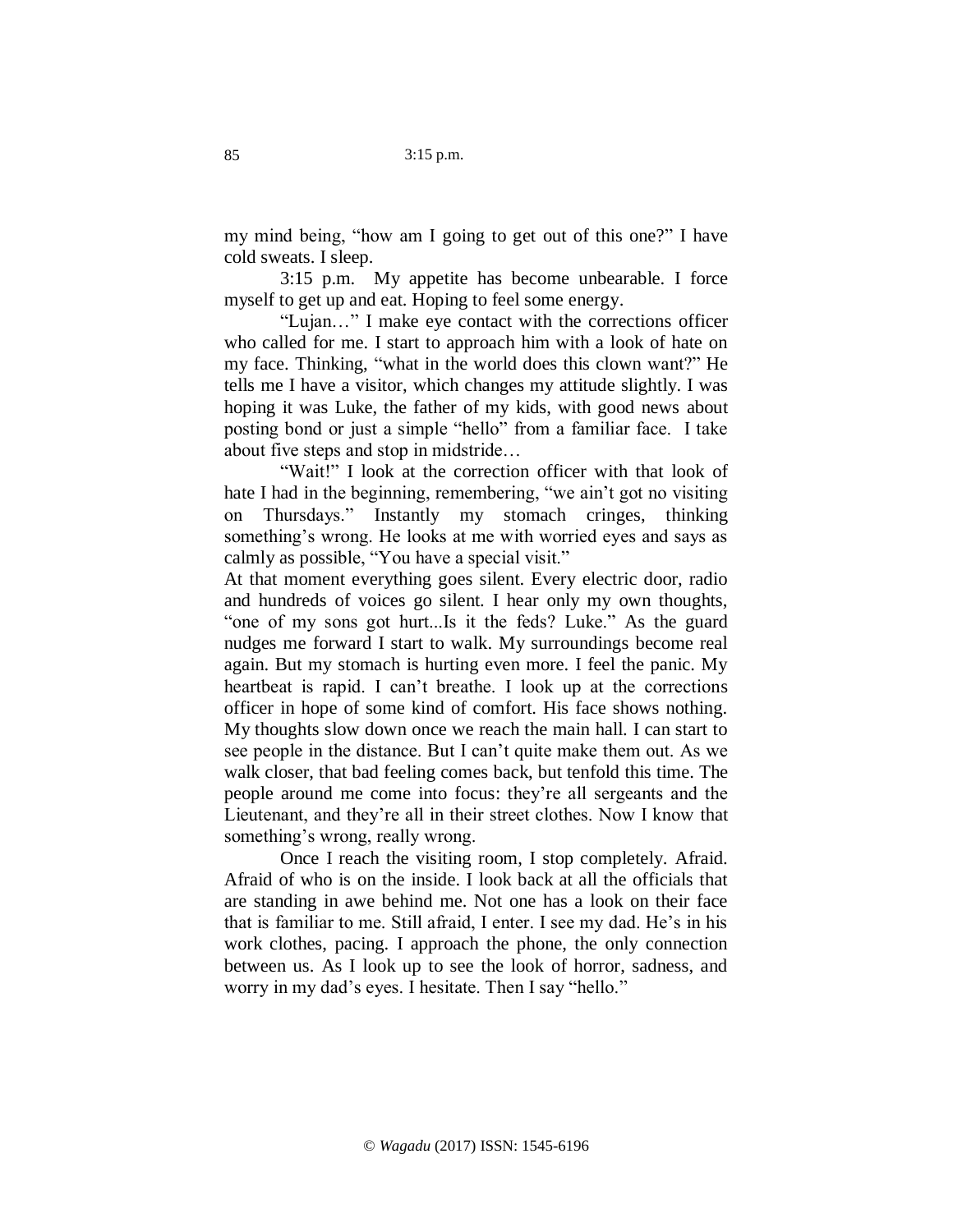my mind being, "how am I going to get out of this one?" I have cold sweats. I sleep.

3:15 p.m. My appetite has become unbearable. I force myself to get up and eat. Hoping to feel some energy.

"Lujan…" I make eye contact with the corrections officer who called for me. I start to approach him with a look of hate on my face. Thinking, "what in the world does this clown want?" He tells me I have a visitor, which changes my attitude slightly. I was hoping it was Luke, the father of my kids, with good news about posting bond or just a simple "hello" from a familiar face. I take about five steps and stop in midstride…

"Wait!" I look at the correction officer with that look of hate I had in the beginning, remembering, "we ain't got no visiting on Thursdays." Instantly my stomach cringes, thinking something's wrong. He looks at me with worried eyes and says as calmly as possible, "You have a special visit."

At that moment everything goes silent. Every electric door, radio and hundreds of voices go silent. I hear only my own thoughts, "one of my sons got hurt...Is it the feds? Luke." As the guard nudges me forward I start to walk. My surroundings become real again. But my stomach is hurting even more. I feel the panic. My heartbeat is rapid. I can't breathe. I look up at the corrections officer in hope of some kind of comfort. His face shows nothing. My thoughts slow down once we reach the main hall. I can start to see people in the distance. But I can't quite make them out. As we walk closer, that bad feeling comes back, but tenfold this time. The people around me come into focus: they're all sergeants and the Lieutenant, and they're all in their street clothes. Now I know that something's wrong, really wrong.

Once I reach the visiting room, I stop completely. Afraid. Afraid of who is on the inside. I look back at all the officials that are standing in awe behind me. Not one has a look on their face that is familiar to me. Still afraid, I enter. I see my dad. He's in his work clothes, pacing. I approach the phone, the only connection between us. As I look up to see the look of horror, sadness, and worry in my dad's eyes. I hesitate. Then I say "hello."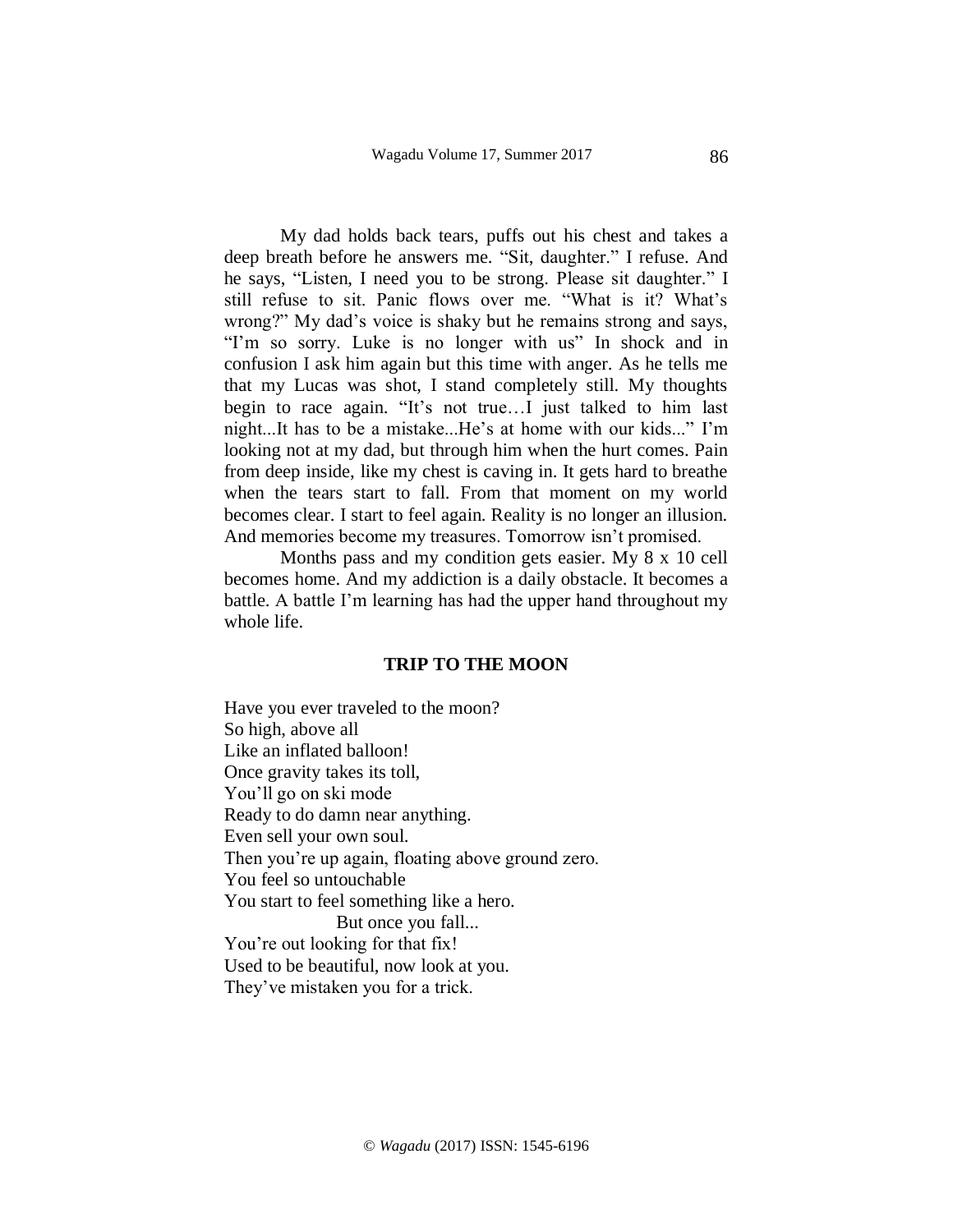My dad holds back tears, puffs out his chest and takes a deep breath before he answers me. "Sit, daughter." I refuse. And he says, "Listen, I need you to be strong. Please sit daughter." I still refuse to sit. Panic flows over me. "What is it? What's wrong?" My dad's voice is shaky but he remains strong and says, "I'm so sorry. Luke is no longer with us" In shock and in confusion I ask him again but this time with anger. As he tells me that my Lucas was shot, I stand completely still. My thoughts begin to race again. "It's not true…I just talked to him last night...It has to be a mistake...He's at home with our kids..." I'm looking not at my dad, but through him when the hurt comes. Pain from deep inside, like my chest is caving in. It gets hard to breathe when the tears start to fall. From that moment on my world becomes clear. I start to feel again. Reality is no longer an illusion. And memories become my treasures. Tomorrow isn't promised.

Months pass and my condition gets easier. My 8 x 10 cell becomes home. And my addiction is a daily obstacle. It becomes a battle. A battle I'm learning has had the upper hand throughout my whole life.

#### **TRIP TO THE MOON**

Have you ever traveled to the moon? So high, above all Like an inflated balloon! Once gravity takes its toll, You'll go on ski mode Ready to do damn near anything. Even sell your own soul. Then you're up again, floating above ground zero. You feel so untouchable You start to feel something like a hero. But once you fall... You're out looking for that fix! Used to be beautiful, now look at you. They've mistaken you for a trick.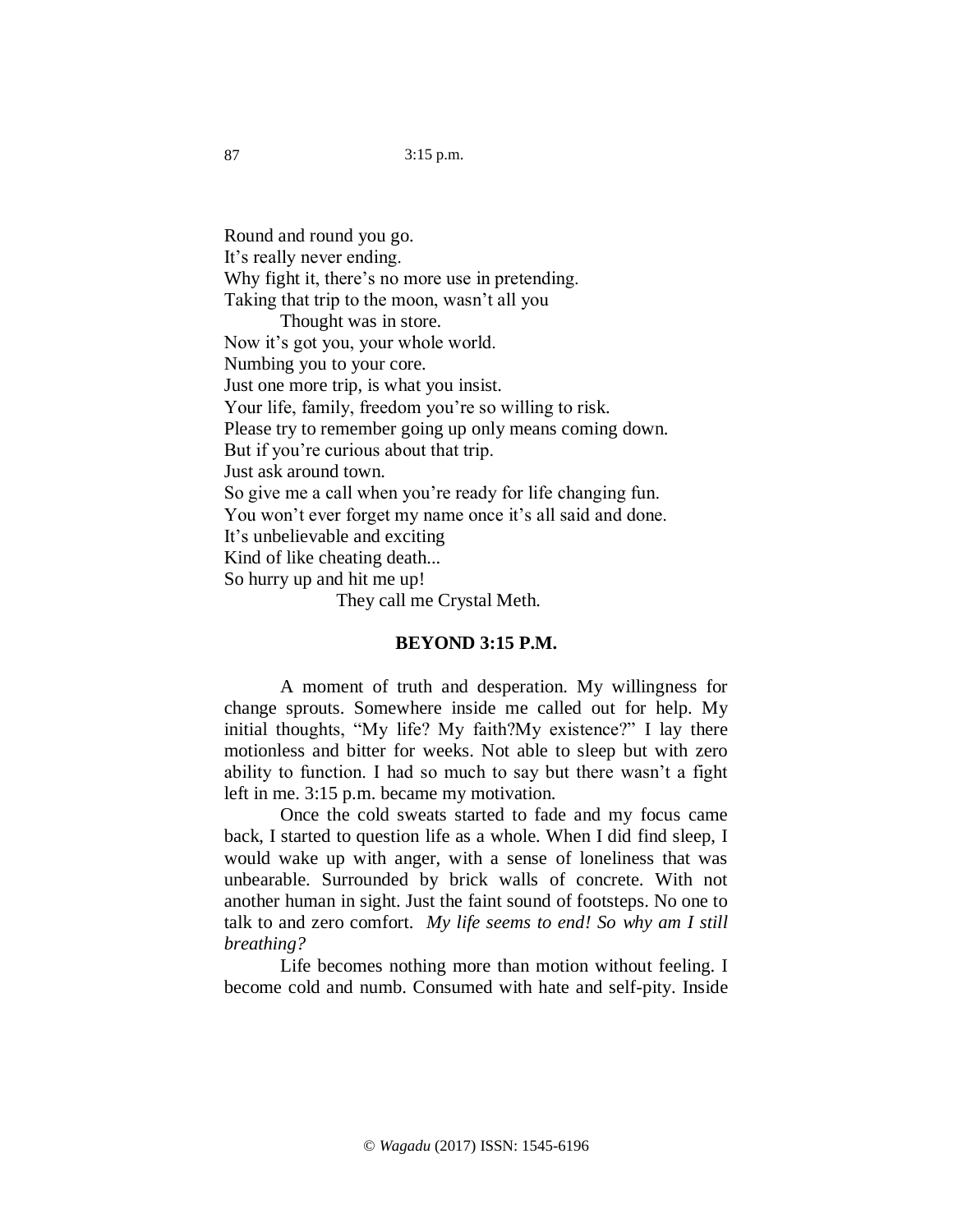Round and round you go. It's really never ending. Why fight it, there's no more use in pretending. Taking that trip to the moon, wasn't all you Thought was in store. Now it's got you, your whole world. Numbing you to your core. Just one more trip, is what you insist. Your life, family, freedom you're so willing to risk. Please try to remember going up only means coming down. But if you're curious about that trip. Just ask around town. So give me a call when you're ready for life changing fun. You won't ever forget my name once it's all said and done. It's unbelievable and exciting Kind of like cheating death... So hurry up and hit me up! They call me Crystal Meth.

# **BEYOND 3:15 P.M.**

A moment of truth and desperation. My willingness for change sprouts. Somewhere inside me called out for help. My initial thoughts, "My life? My faith?My existence?" I lay there motionless and bitter for weeks. Not able to sleep but with zero ability to function. I had so much to say but there wasn't a fight left in me. 3:15 p.m. became my motivation.

Once the cold sweats started to fade and my focus came back, I started to question life as a whole. When I did find sleep, I would wake up with anger, with a sense of loneliness that was unbearable. Surrounded by brick walls of concrete. With not another human in sight. Just the faint sound of footsteps. No one to talk to and zero comfort. *My life seems to end! So why am I still breathing?*

Life becomes nothing more than motion without feeling. I become cold and numb. Consumed with hate and self-pity. Inside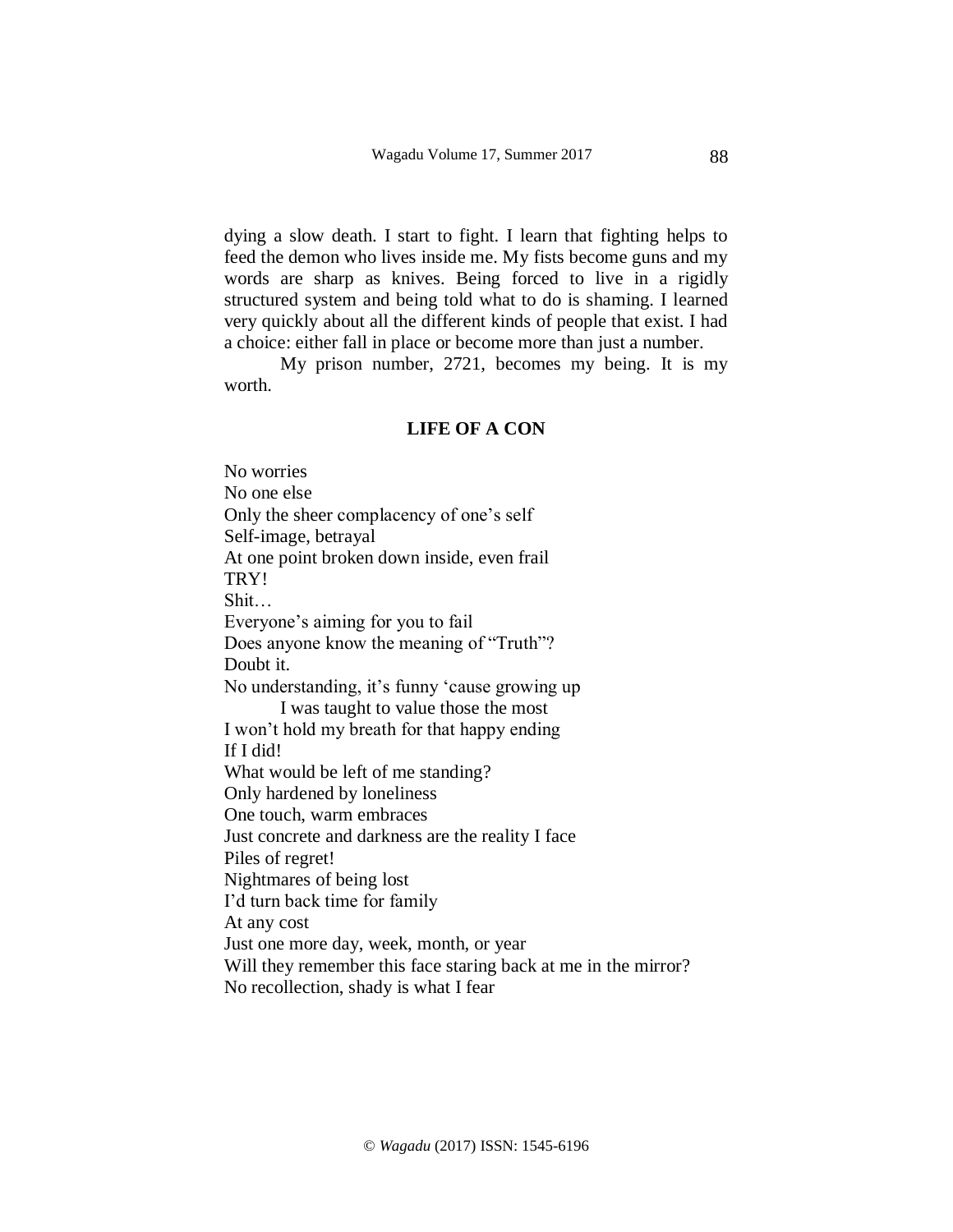dying a slow death. I start to fight. I learn that fighting helps to feed the demon who lives inside me. My fists become guns and my words are sharp as knives. Being forced to live in a rigidly structured system and being told what to do is shaming. I learned very quickly about all the different kinds of people that exist. I had a choice: either fall in place or become more than just a number.

My prison number, 2721, becomes my being. It is my worth.

## **LIFE OF A CON**

No worries No one else Only the sheer complacency of one's self Self-image, betrayal At one point broken down inside, even frail TRY! Shit… Everyone's aiming for you to fail Does anyone know the meaning of "Truth"? Doubt it. No understanding, it's funny 'cause growing up I was taught to value those the most I won't hold my breath for that happy ending If I did! What would be left of me standing? Only hardened by loneliness One touch, warm embraces Just concrete and darkness are the reality I face Piles of regret! Nightmares of being lost I'd turn back time for family At any cost Just one more day, week, month, or year Will they remember this face staring back at me in the mirror? No recollection, shady is what I fear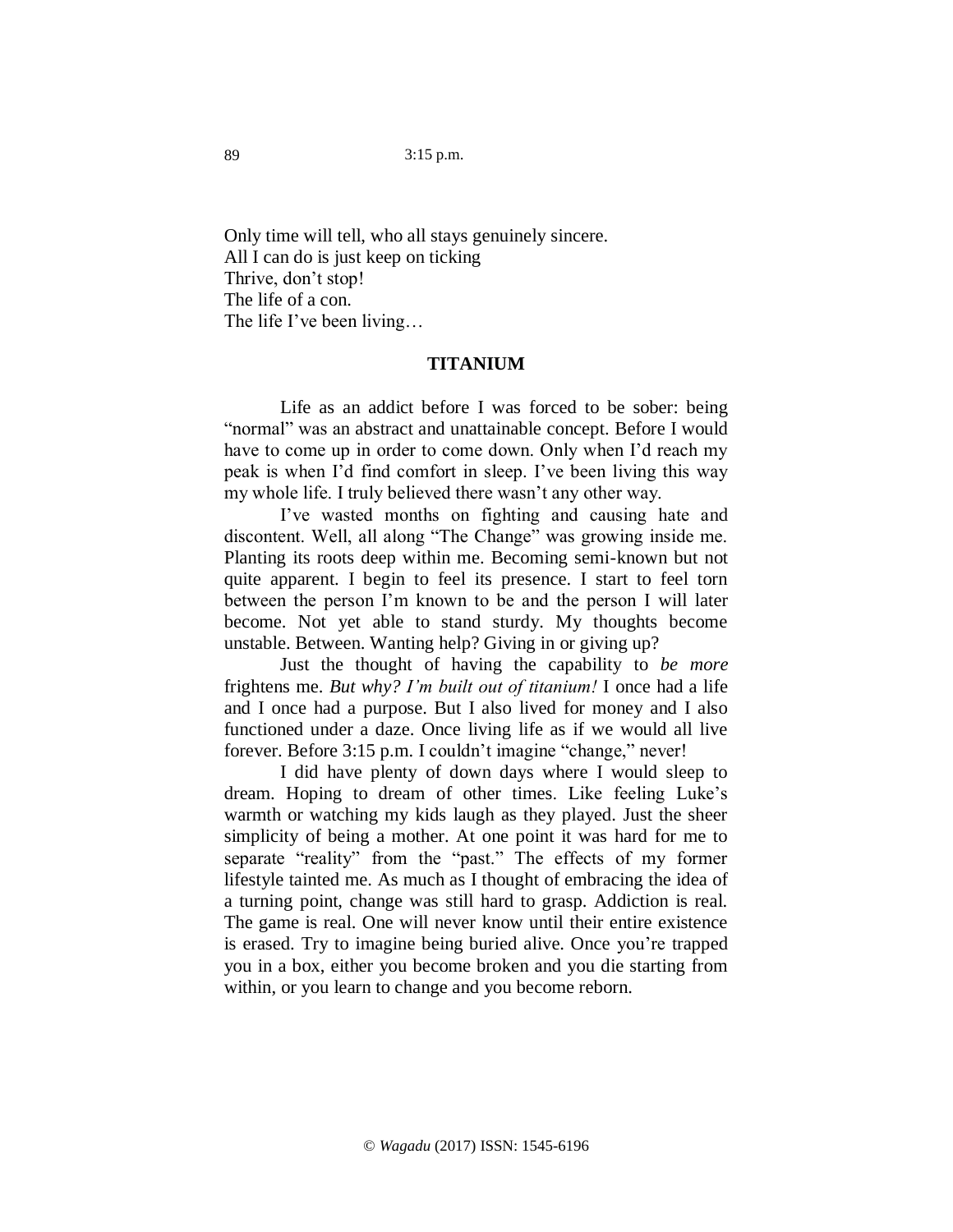Only time will tell, who all stays genuinely sincere. All I can do is just keep on ticking Thrive, don't stop! The life of a con. The life I've been living…

# **TITANIUM**

Life as an addict before I was forced to be sober: being "normal" was an abstract and unattainable concept. Before I would have to come up in order to come down. Only when I'd reach my peak is when I'd find comfort in sleep. I've been living this way my whole life. I truly believed there wasn't any other way.

I've wasted months on fighting and causing hate and discontent. Well, all along "The Change" was growing inside me. Planting its roots deep within me. Becoming semi-known but not quite apparent. I begin to feel its presence. I start to feel torn between the person I'm known to be and the person I will later become. Not yet able to stand sturdy. My thoughts become unstable. Between. Wanting help? Giving in or giving up?

Just the thought of having the capability to *be more* frightens me. *But why? I'm built out of titanium!* I once had a life and I once had a purpose. But I also lived for money and I also functioned under a daze. Once living life as if we would all live forever. Before 3:15 p.m. I couldn't imagine "change," never!

I did have plenty of down days where I would sleep to dream. Hoping to dream of other times. Like feeling Luke's warmth or watching my kids laugh as they played. Just the sheer simplicity of being a mother. At one point it was hard for me to separate "reality" from the "past." The effects of my former lifestyle tainted me. As much as I thought of embracing the idea of a turning point, change was still hard to grasp. Addiction is real. The game is real. One will never know until their entire existence is erased. Try to imagine being buried alive. Once you're trapped you in a box, either you become broken and you die starting from within, or you learn to change and you become reborn.

89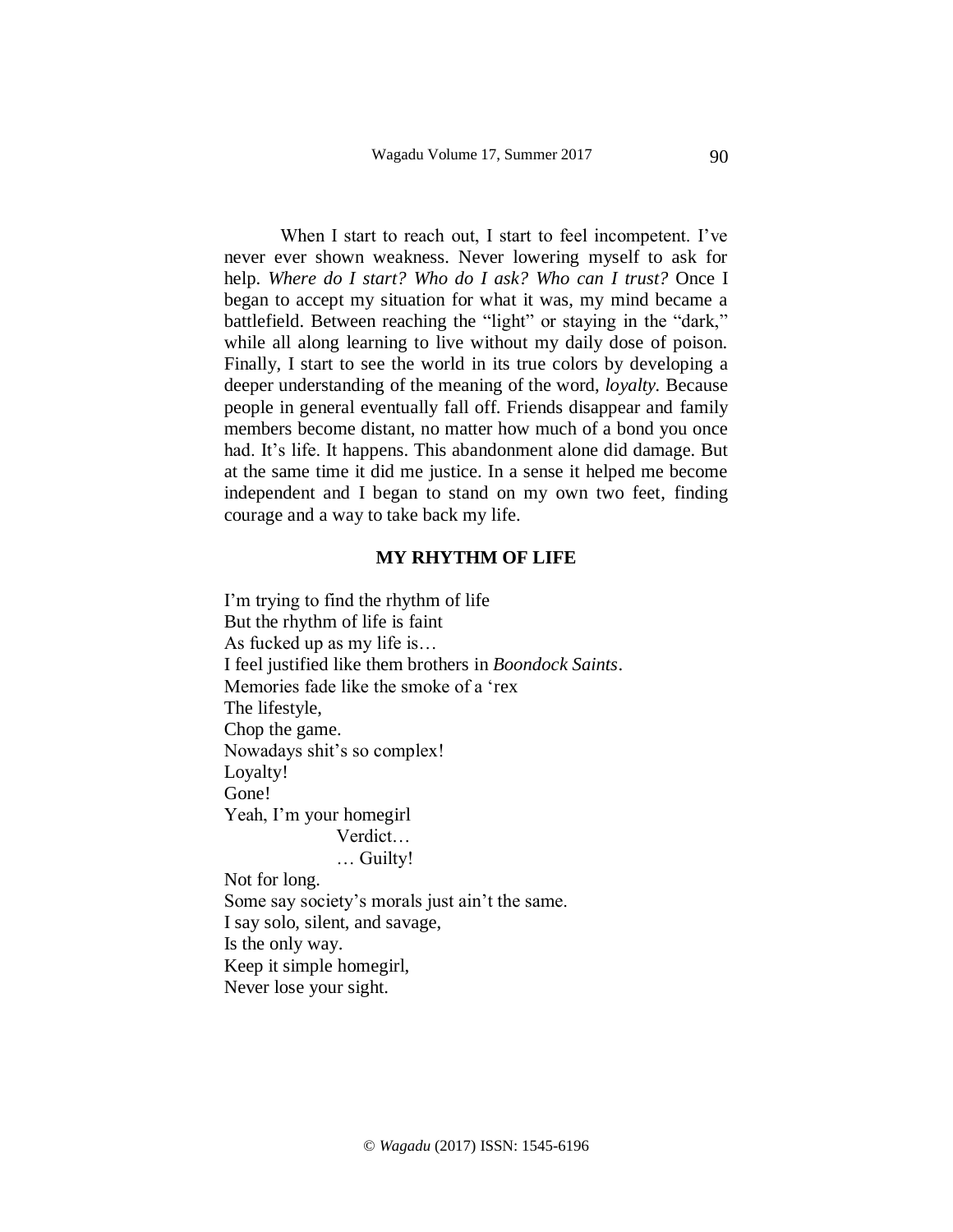When I start to reach out, I start to feel incompetent. I've never ever shown weakness. Never lowering myself to ask for help. *Where do I start? Who do I ask? Who can I trust?* Once I began to accept my situation for what it was, my mind became a battlefield. Between reaching the "light" or staying in the "dark," while all along learning to live without my daily dose of poison. Finally, I start to see the world in its true colors by developing a deeper understanding of the meaning of the word, *loyalty.* Because people in general eventually fall off. Friends disappear and family members become distant, no matter how much of a bond you once had. It's life. It happens. This abandonment alone did damage. But at the same time it did me justice. In a sense it helped me become independent and I began to stand on my own two feet, finding courage and a way to take back my life.

#### **MY RHYTHM OF LIFE**

I'm trying to find the rhythm of life But the rhythm of life is faint As fucked up as my life is… I feel justified like them brothers in *Boondock Saints*. Memories fade like the smoke of a 'rex The lifestyle, Chop the game. Nowadays shit's so complex! Loyalty! Gone! Yeah, I'm your homegirl Verdict… … Guilty! Not for long.

Some say society's morals just ain't the same. I say solo, silent, and savage, Is the only way. Keep it simple homegirl, Never lose your sight.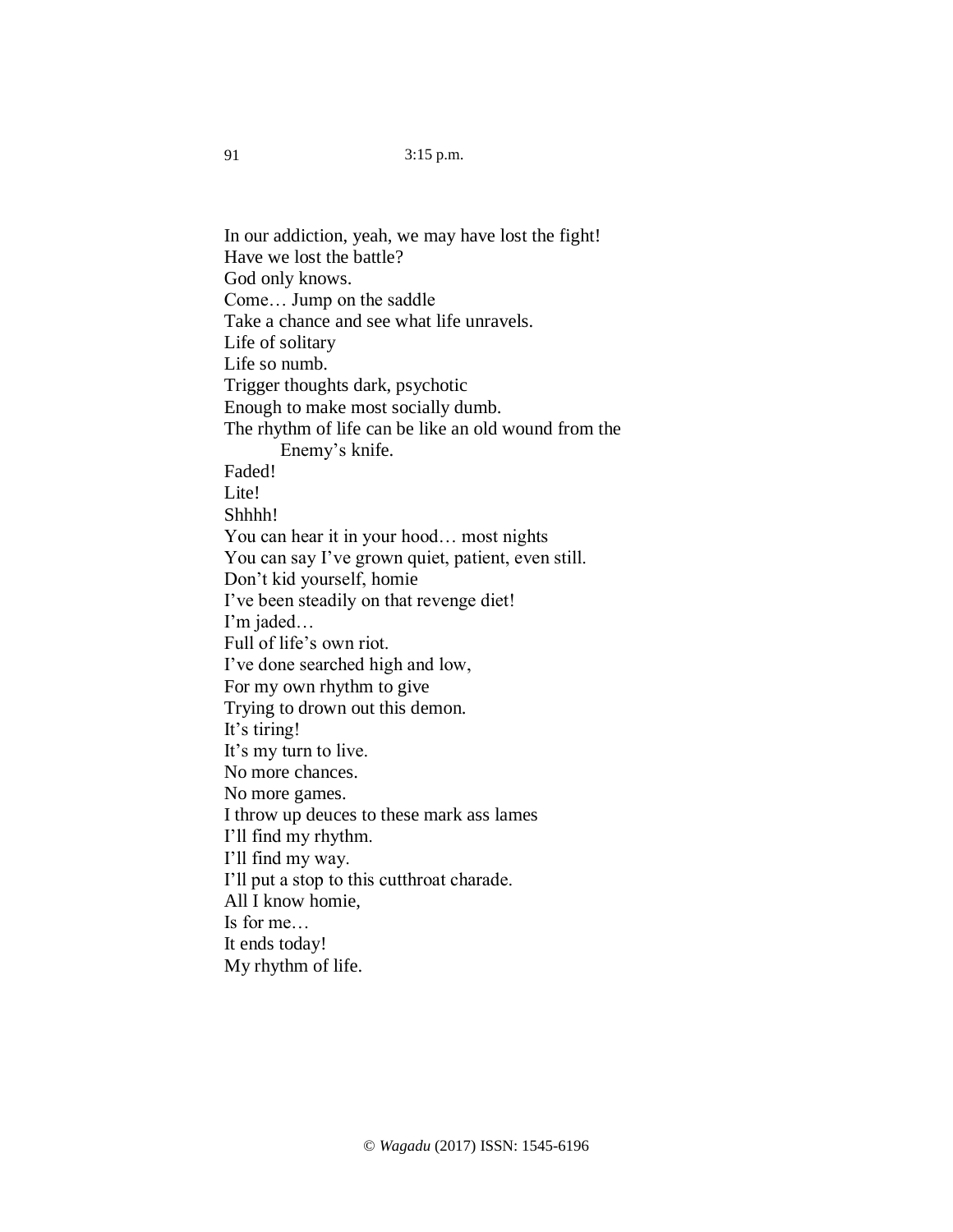In our addiction, yeah, we may have lost the fight! Have we lost the battle? God only knows. Come… Jump on the saddle Take a chance and see what life unravels. Life of solitary Life so numb. Trigger thoughts dark, psychotic Enough to make most socially dumb. The rhythm of life can be like an old wound from the Enemy's knife. Faded! Lite! Shhhh! You can hear it in your hood… most nights You can say I've grown quiet, patient, even still. Don't kid yourself, homie I've been steadily on that revenge diet! I'm jaded… Full of life's own riot. I've done searched high and low, For my own rhythm to give Trying to drown out this demon. It's tiring! It's my turn to live. No more chances. No more games. I throw up deuces to these mark ass lames I'll find my rhythm. I'll find my way. I'll put a stop to this cutthroat charade. All I know homie, Is for me… It ends today! My rhythm of life.

91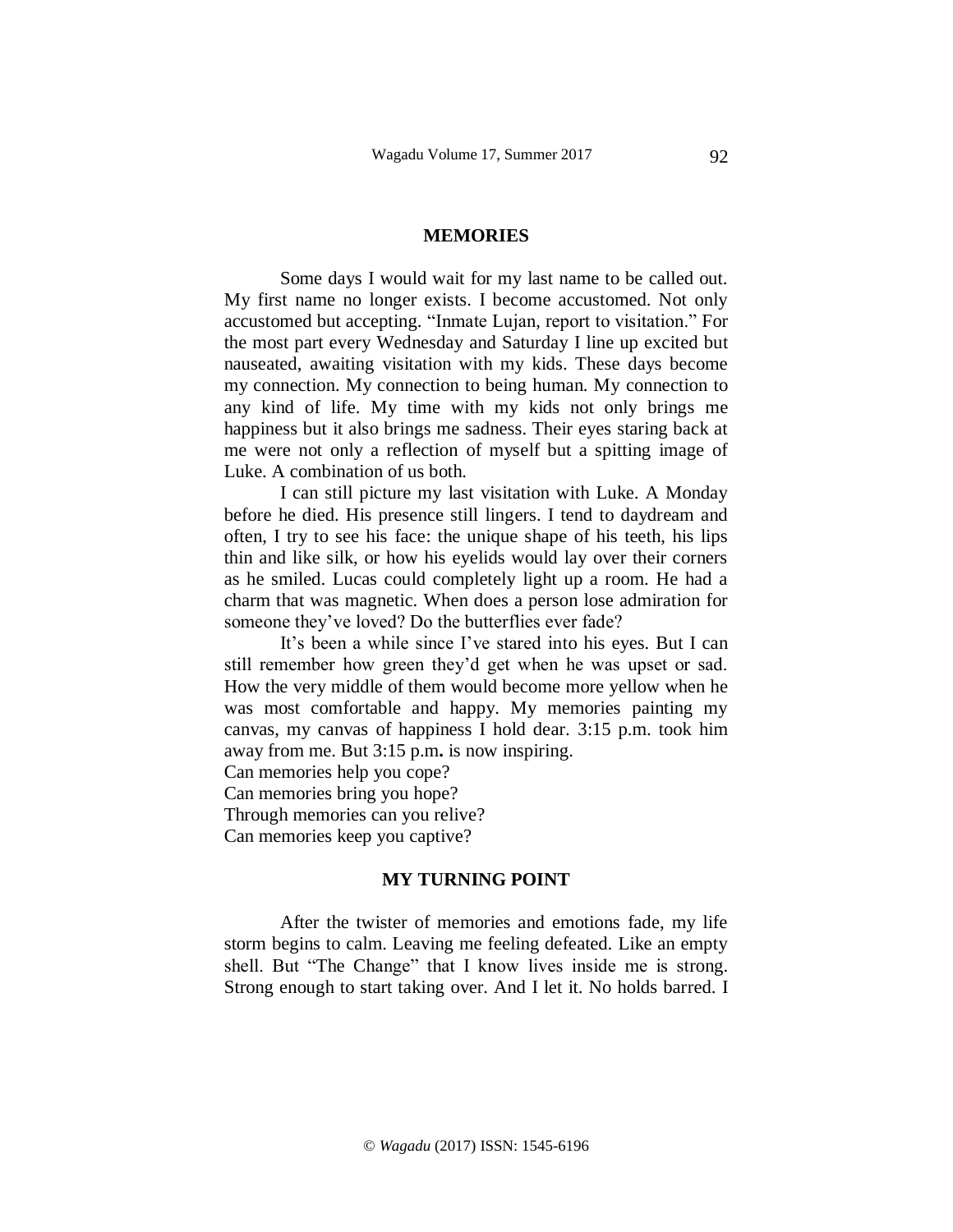#### **MEMORIES**

Some days I would wait for my last name to be called out. My first name no longer exists. I become accustomed. Not only accustomed but accepting. "Inmate Lujan, report to visitation." For the most part every Wednesday and Saturday I line up excited but nauseated, awaiting visitation with my kids. These days become my connection. My connection to being human. My connection to any kind of life. My time with my kids not only brings me happiness but it also brings me sadness. Their eyes staring back at me were not only a reflection of myself but a spitting image of Luke. A combination of us both.

I can still picture my last visitation with Luke. A Monday before he died. His presence still lingers. I tend to daydream and often, I try to see his face: the unique shape of his teeth, his lips thin and like silk, or how his eyelids would lay over their corners as he smiled. Lucas could completely light up a room. He had a charm that was magnetic. When does a person lose admiration for someone they've loved? Do the butterflies ever fade?

It's been a while since I've stared into his eyes. But I can still remember how green they'd get when he was upset or sad. How the very middle of them would become more yellow when he was most comfortable and happy. My memories painting my canvas, my canvas of happiness I hold dear. 3:15 p.m. took him away from me. But 3:15 p.m**.** is now inspiring.

Can memories help you cope?

Can memories bring you hope?

Through memories can you relive?

Can memories keep you captive?

#### **MY TURNING POINT**

After the twister of memories and emotions fade, my life storm begins to calm. Leaving me feeling defeated. Like an empty shell. But "The Change" that I know lives inside me is strong. Strong enough to start taking over. And I let it. No holds barred. I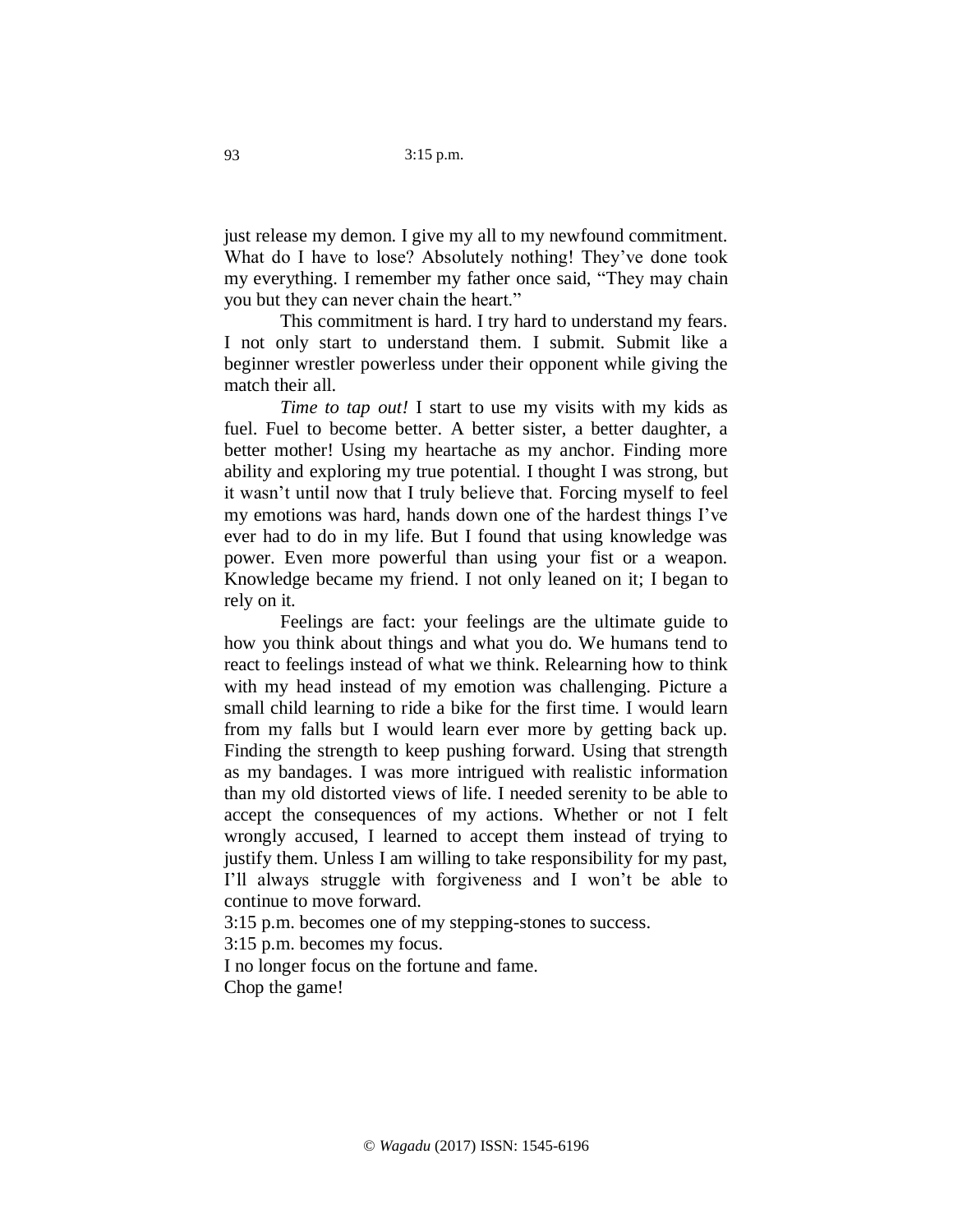just release my demon. I give my all to my newfound commitment. What do I have to lose? Absolutely nothing! They've done took my everything. I remember my father once said, "They may chain you but they can never chain the heart."

This commitment is hard. I try hard to understand my fears. I not only start to understand them. I submit. Submit like a beginner wrestler powerless under their opponent while giving the match their all.

*Time to tap out!* I start to use my visits with my kids as fuel. Fuel to become better. A better sister, a better daughter, a better mother! Using my heartache as my anchor. Finding more ability and exploring my true potential. I thought I was strong, but it wasn't until now that I truly believe that. Forcing myself to feel my emotions was hard, hands down one of the hardest things I've ever had to do in my life. But I found that using knowledge was power. Even more powerful than using your fist or a weapon. Knowledge became my friend. I not only leaned on it; I began to rely on it.

Feelings are fact: your feelings are the ultimate guide to how you think about things and what you do. We humans tend to react to feelings instead of what we think. Relearning how to think with my head instead of my emotion was challenging. Picture a small child learning to ride a bike for the first time. I would learn from my falls but I would learn ever more by getting back up. Finding the strength to keep pushing forward. Using that strength as my bandages. I was more intrigued with realistic information than my old distorted views of life. I needed serenity to be able to accept the consequences of my actions. Whether or not I felt wrongly accused, I learned to accept them instead of trying to justify them. Unless I am willing to take responsibility for my past, I'll always struggle with forgiveness and I won't be able to continue to move forward.

3:15 p.m. becomes one of my stepping-stones to success.

3:15 p.m. becomes my focus.

I no longer focus on the fortune and fame.

Chop the game!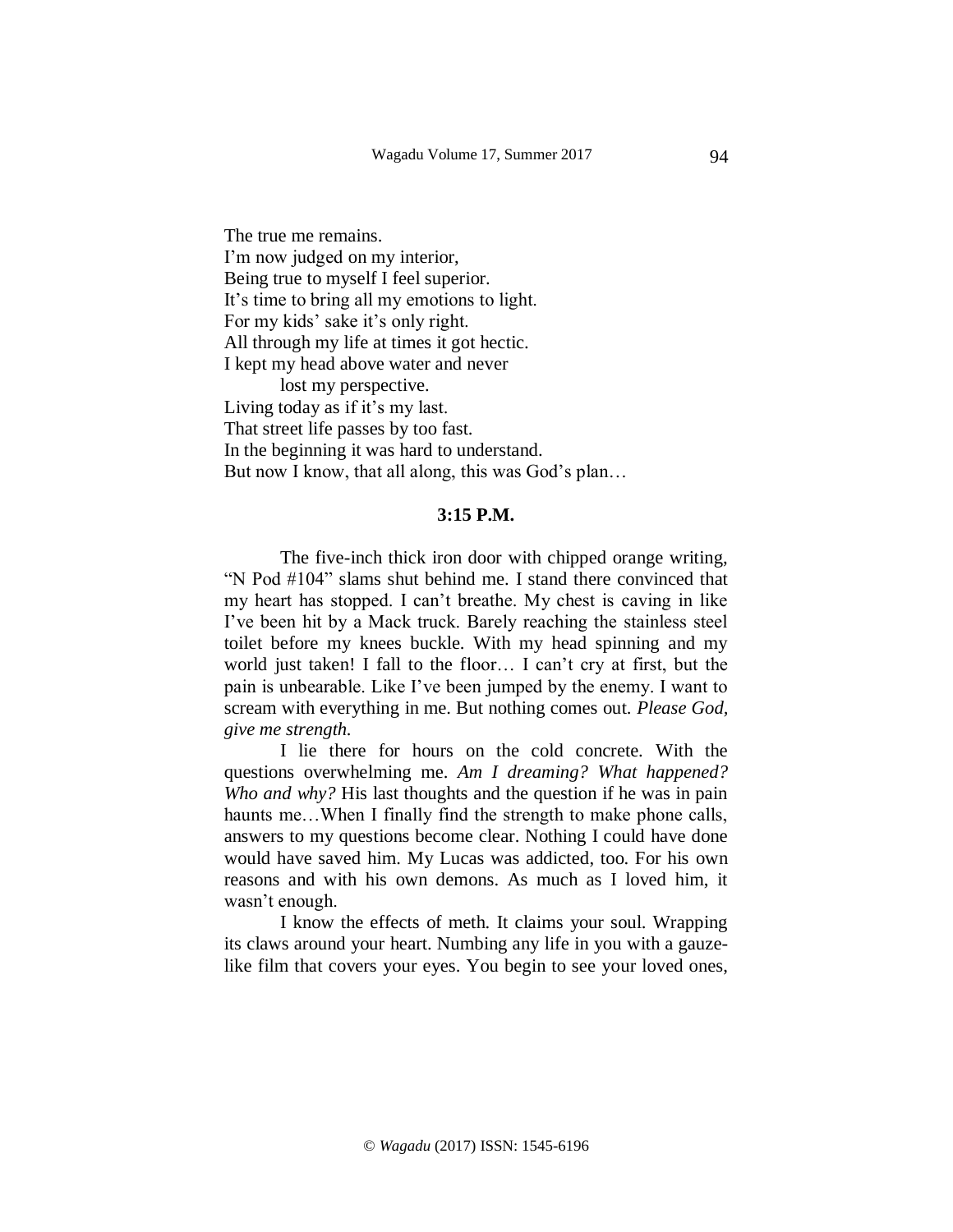The true me remains. I'm now judged on my interior, Being true to myself I feel superior. It's time to bring all my emotions to light. For my kids' sake it's only right. All through my life at times it got hectic. I kept my head above water and never lost my perspective. Living today as if it's my last. That street life passes by too fast. In the beginning it was hard to understand. But now I know, that all along, this was God's plan...

#### **3:15 P.M.**

The five-inch thick iron door with chipped orange writing, "N Pod #104" slams shut behind me. I stand there convinced that my heart has stopped. I can't breathe. My chest is caving in like I've been hit by a Mack truck. Barely reaching the stainless steel toilet before my knees buckle. With my head spinning and my world just taken! I fall to the floor… I can't cry at first, but the pain is unbearable. Like I've been jumped by the enemy. I want to scream with everything in me. But nothing comes out. *Please God, give me strength.*

I lie there for hours on the cold concrete. With the questions overwhelming me. *Am I dreaming? What happened? Who and why?* His last thoughts and the question if he was in pain haunts me...When I finally find the strength to make phone calls, answers to my questions become clear. Nothing I could have done would have saved him. My Lucas was addicted, too. For his own reasons and with his own demons. As much as I loved him, it wasn't enough.

I know the effects of meth. It claims your soul. Wrapping its claws around your heart. Numbing any life in you with a gauzelike film that covers your eyes. You begin to see your loved ones,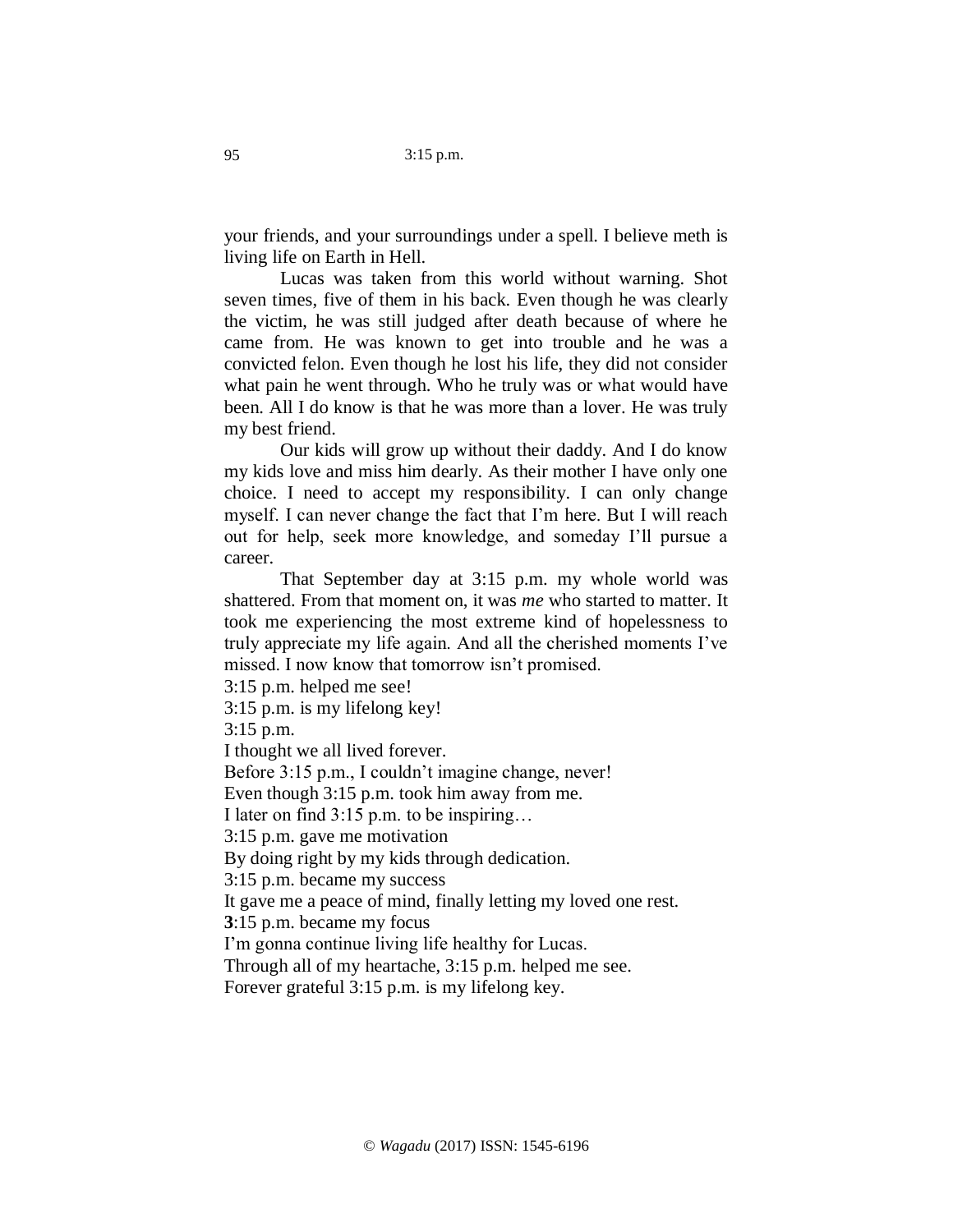your friends, and your surroundings under a spell. I believe meth is living life on Earth in Hell.

Lucas was taken from this world without warning. Shot seven times, five of them in his back. Even though he was clearly the victim, he was still judged after death because of where he came from. He was known to get into trouble and he was a convicted felon. Even though he lost his life, they did not consider what pain he went through. Who he truly was or what would have been. All I do know is that he was more than a lover. He was truly my best friend.

Our kids will grow up without their daddy. And I do know my kids love and miss him dearly. As their mother I have only one choice. I need to accept my responsibility. I can only change myself. I can never change the fact that I'm here. But I will reach out for help, seek more knowledge, and someday I'll pursue a career.

That September day at 3:15 p.m. my whole world was shattered. From that moment on, it was *me* who started to matter. It took me experiencing the most extreme kind of hopelessness to truly appreciate my life again. And all the cherished moments I've missed. I now know that tomorrow isn't promised.

3:15 p.m. helped me see!

3:15 p.m. is my lifelong key!

3:15 p.m.

I thought we all lived forever.

Before 3:15 p.m., I couldn't imagine change, never!

Even though 3:15 p.m. took him away from me.

I later on find 3:15 p.m. to be inspiring…

3:15 p.m. gave me motivation

By doing right by my kids through dedication.

3:15 p.m. became my success

It gave me a peace of mind, finally letting my loved one rest.

**3**:15 p.m. became my focus

I'm gonna continue living life healthy for Lucas.

Through all of my heartache, 3:15 p.m. helped me see.

Forever grateful 3:15 p.m. is my lifelong key.

95